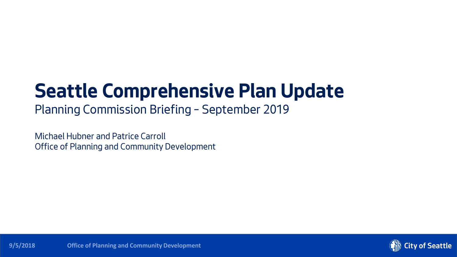# **Seattle Comprehensive Plan Update**

## Planning Commission Briefing – September 2019

Michael Hubner and Patrice Carroll Office of Planning and Community Development

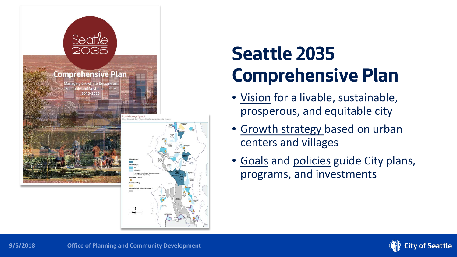

# **Seattle 2035 Comprehensive Plan**

- Vision for a livable, sustainable, prosperous, and equitable city
- Growth strategy based on urban centers and villages
- Goals and policies guide City plans, programs, and investments

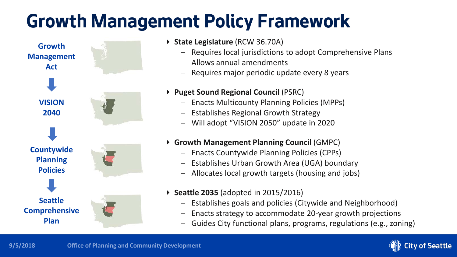# **Growth Management Policy Framework**



- **State Legislature** (RCW 36.70A)
	- − Requires local jurisdictions to adopt Comprehensive Plans
	- − Allows annual amendments
	- Requires major periodic update every 8 years
- **Puget Sound Regional Council** (PSRC)
	- − Enacts Multicounty Planning Policies (MPPs)
	- − Establishes Regional Growth Strategy
	- − Will adopt "VISION 2050" update in 2020

#### **Growth Management Planning Council** (GMPC)

- − Enacts Countywide Planning Policies (CPPs)
- − Establishes Urban Growth Area (UGA) boundary
- − Allocates local growth targets (housing and jobs)
- **Seattle 2035** (adopted in 2015/2016)
	- − Establishes goals and policies (Citywide and Neighborhood)
	- Enacts strategy to accommodate 20-year growth projections
	- − Guides City functional plans, programs, regulations (e.g., zoning)

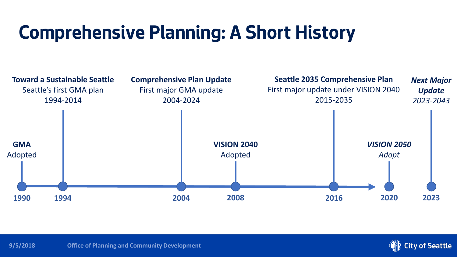# **Comprehensive Planning: A Short History**





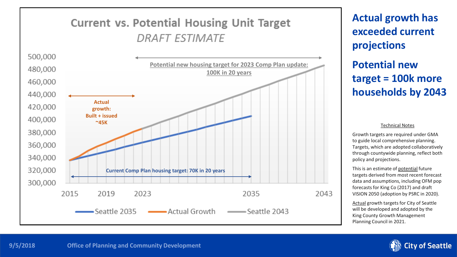## **Current vs. Potential Housing Unit Target DRAFT ESTIMATE**



**Actual growth has exceeded current projections Potential new target = 100k more households by 2043**

#### Technical Notes

Growth targets are required under GMA to guide local comprehensive planning. Targets, which are adopted collaboratively through countywide planning, reflect both policy and projections.

This is an estimate of potential future targets derived from most recent forecast data and assumptions, including OFM pop forecasts for King Co (2017) and draft VISION 2050 (adoption by PSRC in 2020).

Actual growth targets for City of Seattle will be developed and adopted by the King County Growth Management Planning Council in 2021.

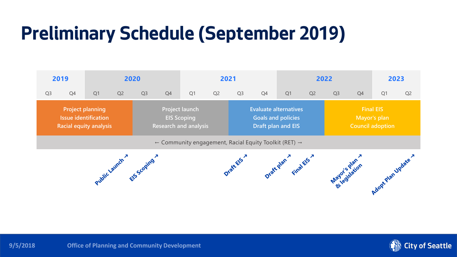# **Preliminary Schedule (September 2019)**



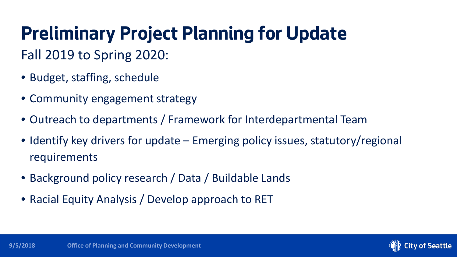## **Preliminary Project Planning for Update** Fall 2019 to Spring 2020:

- Budget, staffing, schedule
- Community engagement strategy
- Outreach to departments / Framework for Interdepartmental Team
- Identify key drivers for update Emerging policy issues, statutory/regional requirements
- Background policy research / Data / Buildable Lands
- Racial Equity Analysis / Develop approach to RET

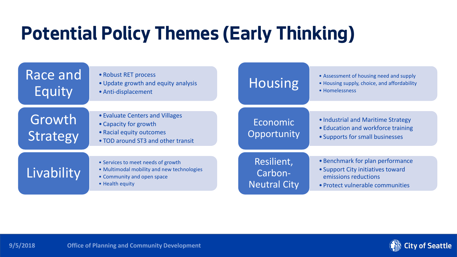# **Potential Policy Themes (Early Thinking)**

| Race and<br>Equity | • Robust RET process<br>• Update growth and equity analysis<br>• Anti-displacement                                                | <b>Housing</b>                               | • Assessment of housing need and supply<br>• Housing supply, choice, and affordability<br>• Homelessness                          |
|--------------------|-----------------------------------------------------------------------------------------------------------------------------------|----------------------------------------------|-----------------------------------------------------------------------------------------------------------------------------------|
| Growth<br>Strategy | • Evaluate Centers and Villages<br>• Capacity for growth<br>• Racial equity outcomes<br>• TOD around ST3 and other transit        | Economic<br>Opportunity                      | • Industrial and Maritime Strategy<br>• Education and workforce training<br>• Supports for small businesses                       |
| Livability         | • Services to meet needs of growth<br>• Multimodal mobility and new technologies<br>• Community and open space<br>• Health equity | Resilient,<br>Carbon-<br><b>Neutral City</b> | • Benchmark for plan performance<br>• Support City initiatives toward<br>emissions reductions<br>• Protect vulnerable communities |

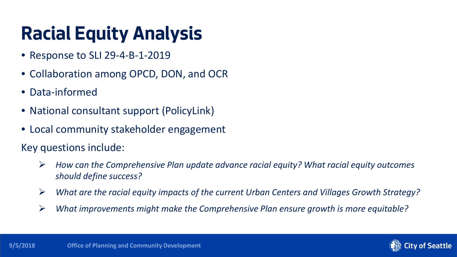# **Racial Equity Analysis**

- Response to SLI 29-4-B-1-2019
- Collaboration among OPCD, DON, and OCR
- Data-informed
- National consultant support (PolicyLink)
- Local community stakeholder engagement

Key questions include:

- *How can the Comprehensive Plan update advance racial equity? What racial equity outcomes should define success?*
- *What are the racial equity impacts of the current Urban Centers and Villages Growth Strategy?*
- *What improvements might make the Comprehensive Plan ensure growth is more equitable?*